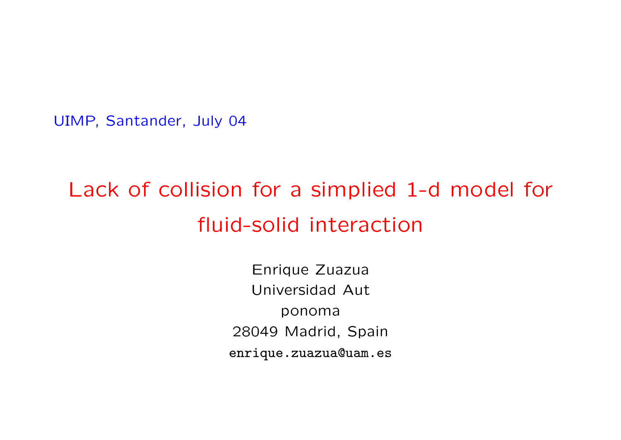UIMP, Santander, July 04

## Lack of collision for a simplied 1-d model for fluid-solid interaction

Enrique Zuazua Universidad Aut ponoma 28049 Madrid, Spain enrique.zuazua@uam.es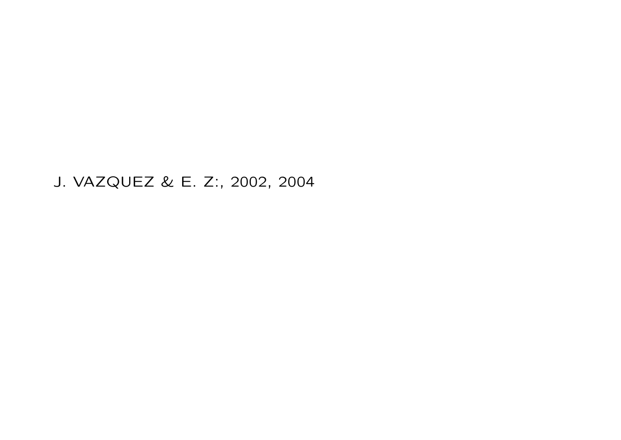J. VAZQUEZ & E. Z:, 2002, 2004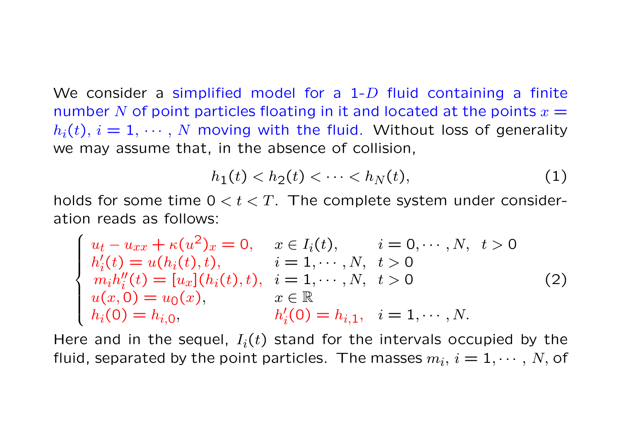We consider a simplified model for a  $1-D$  fluid containing a finite number N of point particles floating in it and located at the points  $x =$  $h_i(t)$ ,  $i = 1, \dots, N$  moving with the fluid. Without loss of generality we may assume that, in the absence of collision,

$$
h_1(t) < h_2(t) < \cdots < h_N(t), \tag{1}
$$

holds for some time  $0 < t < T$ . The complete system under consideration reads as follows:

$$
\begin{cases}\nu_t - u_{xx} + \kappa(u^2)_x = 0, & x \in I_i(t), \quad i = 0, \dots, N, \ t > 0 \\
h'_i(t) = u(h_i(t), t), & i = 1, \dots, N, \ t > 0 \\
m_i h''_i(t) = [u_x](h_i(t), t), & i = 1, \dots, N, \ t > 0 \\
u(x, 0) = u_0(x), & x \in \mathbb{R} \\
h_i(0) = h_{i,0}, & h'_i(0) = h_{i,1}, \ i = 1, \dots, N.\n\end{cases}
$$
\n(2)

Here and in the sequel,  $I_i(t)$  stand for the intervals occupied by the fluid, separated by the point particles. The masses  $m_i, i = 1, \cdots, N$ , of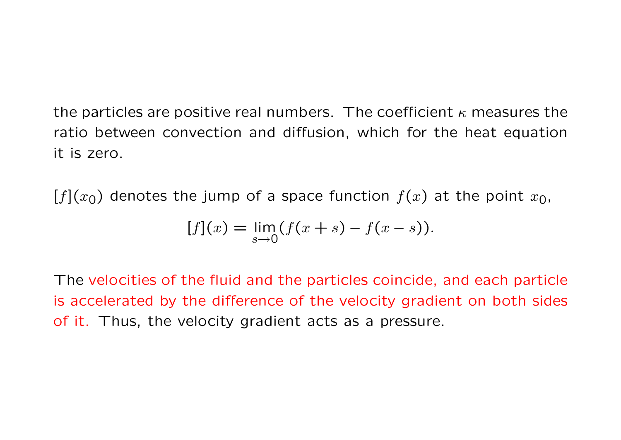the particles are positive real numbers. The coefficient  $\kappa$  measures the ratio between convection and diffusion, which for the heat equation it is zero.

 $[f](x_0)$  denotes the jump of a space function  $f(x)$  at the point  $x_0$ ,

$$
[f](x) = \lim_{s \to 0} (f(x+s) - f(x-s)).
$$

The velocities of the fluid and the particles coincide, and each particle is accelerated by the difference of the velocity gradient on both sides of it. Thus, the velocity gradient acts as a pressure.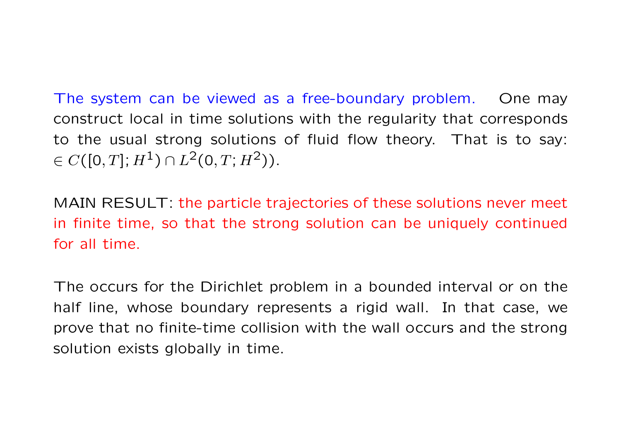The system can be viewed as a free-boundary problem. One may construct local in time solutions with the regularity that corresponds to the usual strong solutions of fluid flow theory. That is to say:  $\in C([0,T]; H^1) \cap L^2(0,T; H^2)$ .

MAIN RESULT: the particle trajectories of these solutions never meet in finite time, so that the strong solution can be uniquely continued for all time.

The occurs for the Dirichlet problem in a bounded interval or on the half line, whose boundary represents a rigid wall. In that case, we prove that no finite-time collision with the wall occurs and the strong solution exists globally in time.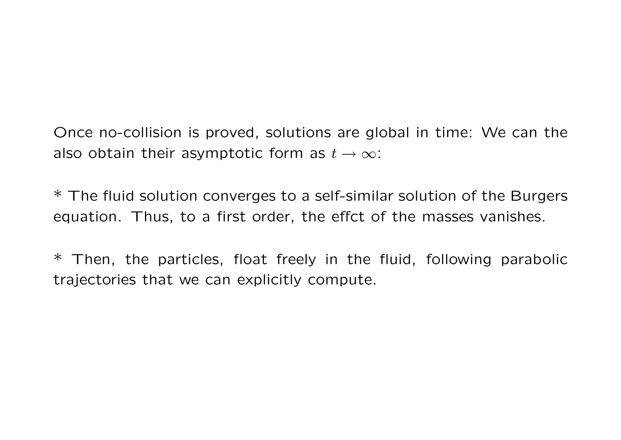Once no-collision is proved, solutions are global in time: We can the also obtain their asymptotic form as  $t \to \infty$ :

\* The fluid solution converges to a self-similar solution of the Burgers equation. Thus, to a first order, the effct of the masses vanishes.

 $*$  Then, the particles, float freely in the fluid, following parabolic trajectories that we can explicitly compute.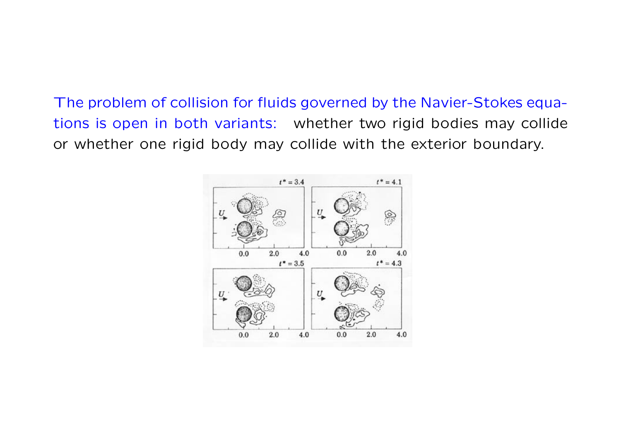The problem of collision for fluids governed by the Navier-Stokes equations is open in both variants: whether two rigid bodies may collide or whether one rigid body may collide with the exterior boundary.

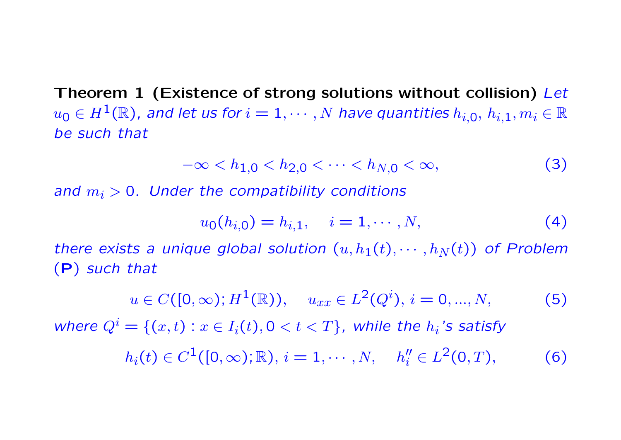Theorem 1 (Existence of strong solutions without collision) Let  $u_0 \in H^1(\mathbb{R})$ , and let us for  $i = 1, \dots, N$  have quantities  $h_{i,0}, h_{i,1}, m_i \in \mathbb{R}$ be such that

$$
-\infty < h_{1,0} < h_{2,0} < \cdots < h_{N,0} < \infty,\tag{3}
$$

and  $m_i > 0$ . Under the compatibility conditions

$$
u_0(h_{i,0}) = h_{i,1}, \quad i = 1, \cdots, N,
$$
\n(4)

there exists a unique global solution  $(u, h_1(t), \cdots, h_N(t))$  of Problem (P) such that

$$
u \in C([0,\infty); H^1(\mathbb{R})), \quad u_{xx} \in L^2(Q^i), i = 0, ..., N,
$$
 (5)

where  $Q^i = \{(x,t) : x \in I_i(t), 0 < t < T\}$ , while the  $h_i$ 's satisfy

$$
h_i(t) \in C^1([0,\infty); \mathbb{R}), i = 1, \cdots, N, \quad h_i'' \in L^2(0,T), \tag{6}
$$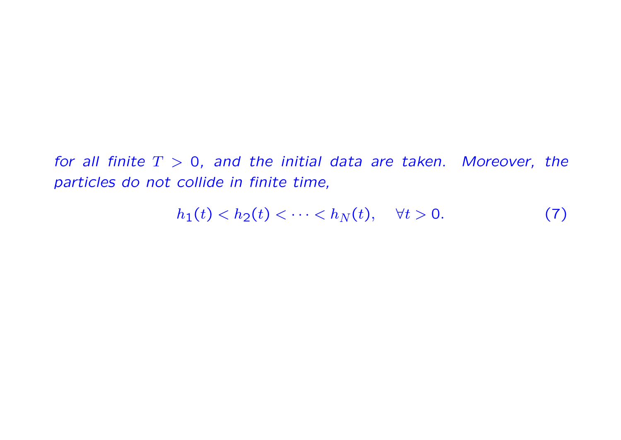for all finite  $T > 0$ , and the initial data are taken. Moreover, the particles do not collide in finite time,

$$
h_1(t) < h_2(t) < \dots < h_N(t), \quad \forall t > 0. \tag{7}
$$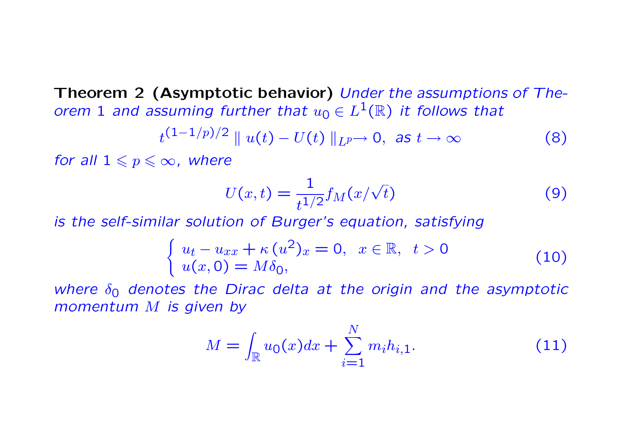Theorem 2 (Asymptotic behavior) Under the assumptions of Theorem 1 and assuming further that  $u_0 \in L^1(\mathbb{R})$  it follows that

$$
t^{(1-1/p)/2} \parallel u(t) - U(t) \parallel_{L^p} \to 0, \text{ as } t \to \infty
$$
 (8)

for all  $1 \leqslant p \leqslant \infty$ , where

$$
U(x,t) = \frac{1}{t^{1/2}} f_M(x/\sqrt{t})
$$
\n(9)

is the self-similar solution of Burger's equation, satisfying

$$
\begin{cases}\n u_t - u_{xx} + \kappa (u^2)_x = 0, & x \in \mathbb{R}, \ t > 0 \\
 u(x, 0) = M \delta_0,\n\end{cases}
$$
\n(10)

where  $\delta_0$  denotes the Dirac delta at the origin and the asymptotic momentum M is given by

$$
M = \int_{\mathbb{R}} u_0(x) dx + \sum_{i=1}^{N} m_i h_{i,1}.
$$
 (11)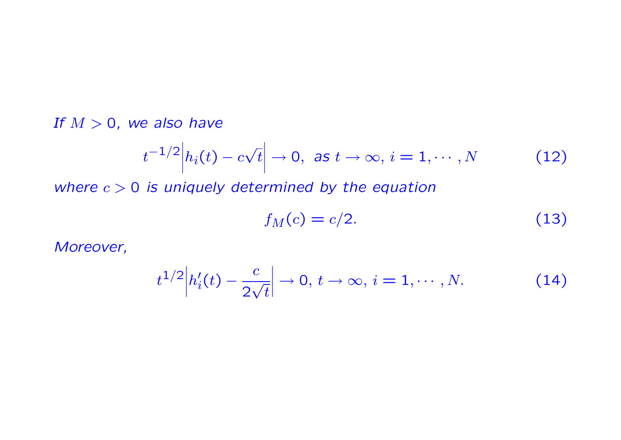If  $M > 0$ , we also have

$$
t^{-1/2}|h_i(t) - c\sqrt{t}| \to 0, \text{ as } t \to \infty, i = 1, \cdots, N
$$
 (12)

where  $c > 0$  is uniquely determined by the equation

$$
f_M(c) = c/2. \tag{13}
$$

Moreover,

$$
t^{1/2} \left| h'_i(t) - \frac{c}{2\sqrt{t}} \right| \to 0, \, t \to \infty, \, i = 1, \cdots, N. \tag{14}
$$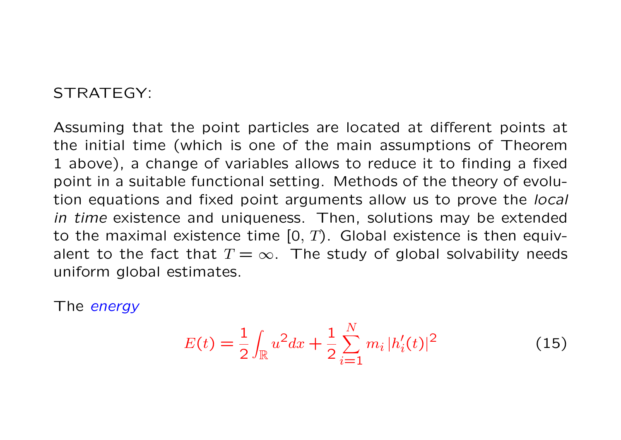## STRATEGY:

Assuming that the point particles are located at different points at the initial time (which is one of the main assumptions of Theorem 1 above), a change of variables allows to reduce it to finding a fixed point in a suitable functional setting. Methods of the theory of evolution equations and fixed point arguments allow us to prove the local in time existence and uniqueness. Then, solutions may be extended to the maximal existence time  $[0, T)$ . Global existence is then equivalent to the fact that  $T = \infty$ . The study of global solvability needs uniform global estimates.

The *energy* 

$$
E(t) = \frac{1}{2} \int_{\mathbb{R}} u^2 dx + \frac{1}{2} \sum_{i=1}^{N} m_i |h'_i(t)|^2
$$
 (15)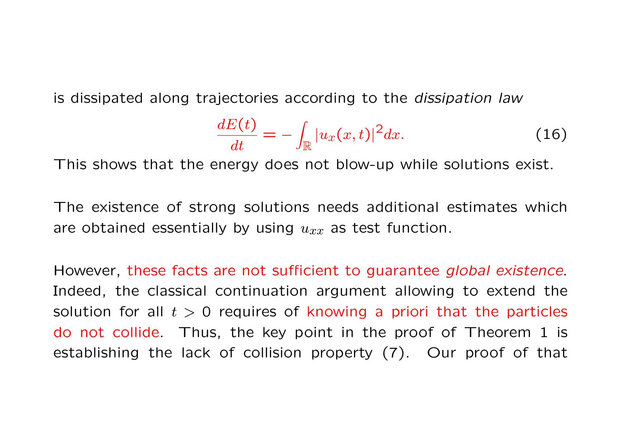is dissipated along trajectories according to the dissipation law

$$
\frac{dE(t)}{dt} = -\int_{\mathbb{R}} |u_x(x,t)|^2 dx.
$$
 (16)

This shows that the energy does not blow-up while solutions exist.

The existence of strong solutions needs additional estimates which are obtained essentially by using  $u_{xx}$  as test function.

However, these facts are not sufficient to guarantee global existence. Indeed, the classical continuation argument allowing to extend the solution for all  $t > 0$  requires of knowing a priori that the particles do not collide. Thus, the key point in the proof of Theorem 1 is establishing the lack of collision property (7). Our proof of that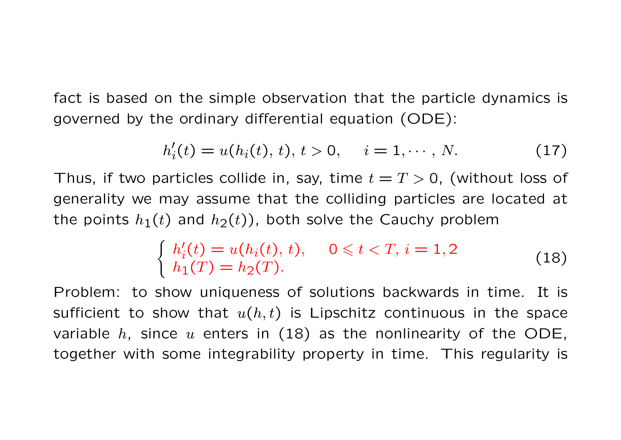fact is based on the simple observation that the particle dynamics is governed by the ordinary differential equation (ODE):

$$
h'_{i}(t) = u(h_{i}(t), t), t > 0, \quad i = 1, \cdots, N.
$$
 (17)

Thus, if two particles collide in, say, time  $t = T > 0$ , (without loss of generality we may assume that the colliding particles are located at the points  $h_1(t)$  and  $h_2(t)$ ), both solve the Cauchy problem

$$
\begin{cases}\nh'_i(t) = u(h_i(t), t), & 0 \leq t < T, i = 1, 2 \\
h_1(T) = h_2(T).\n\end{cases}
$$
\n(18)

Problem: to show uniqueness of solutions backwards in time. It is sufficient to show that  $u(h, t)$  is Lipschitz continuous in the space variable  $h$ , since  $u$  enters in (18) as the nonlinearity of the ODE, together with some integrability property in time. This regularity is